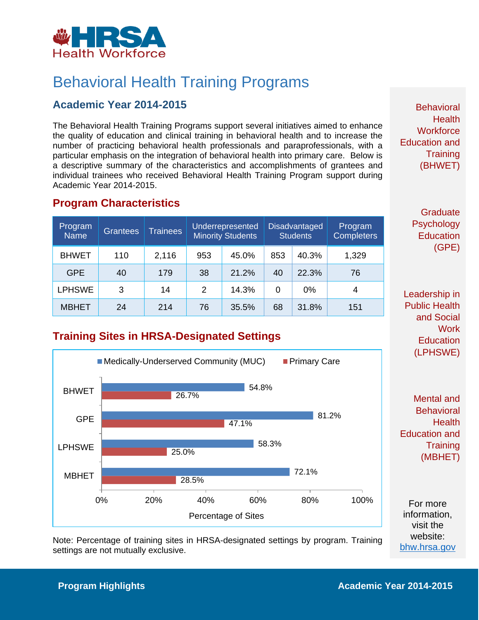

# Behavioral Health Training Programs

### **Academic Year 2014-2015**

The Behavioral Health Training Programs support several initiatives aimed to enhance the quality of education and clinical training in behavioral health and to increase the number of practicing behavioral health professionals and paraprofessionals, with a particular emphasis on the integration of behavioral health into primary care. Below is a descriptive summary of the characteristics and accomplishments of grantees and individual trainees who received Behavioral Health Training Program support during Academic Year 2014-2015.

#### **Program Characteristics**

| Program<br><b>Name</b> | <b>Grantees</b> | <b>Trainees</b> | Underrepresented<br><b>Minority Students</b> |       | <b>Disadvantaged</b><br><b>Students</b> |       | Program<br><b>Completers</b> |
|------------------------|-----------------|-----------------|----------------------------------------------|-------|-----------------------------------------|-------|------------------------------|
| <b>BHWET</b>           | 110             | 2,116           | 953                                          | 45.0% | 853                                     | 40.3% | 1,329                        |
| <b>GPE</b>             | 40              | 179             | 38                                           | 21.2% | 40                                      | 22.3% | 76                           |
| <b>LPHSWE</b>          | 3               | 14              | 2                                            | 14.3% | 0                                       | $0\%$ | 4                            |
| <b>MBHET</b>           | 24              | 214             | 76                                           | 35.5% | 68                                      | 31.8% | 151                          |

### **Training Sites in HRSA-Designated Settings**



Note: Percentage of training sites in HRSA-designated settings by program. Training settings are not mutually exclusive.

**Behavioral Health Workforce** Education and **Training** (BHWET)

> **Graduate Psychology Education** (GPE)

Leadership in Public Health and Social **Work Education** (LPHSWE)

Mental and **Behavioral Health** Education and **Training** (MBHET)

For more information, visit the website: [bhw.hrsa.gov](http://bhw.hrsa.gov/)